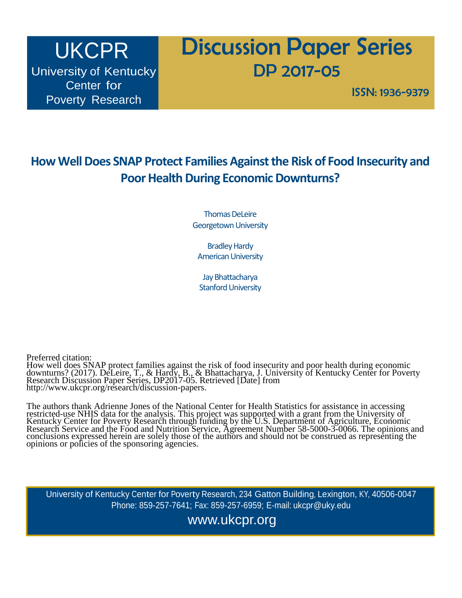# UKCPR University of Kentucky Center for Poverty Research

# Discussion Paper Series DP 2017-05

ISSN: 1936-9379

# **How Well Does SNAP Protect Families Against the Risk of Food Insecurity and Poor Health During Economic Downturns?**

Thomas DeLeire Georgetown University

Bradley Hardy American University

Jay Bhattacharya Stanford University

Preferred citation:

How well does SNAP protect families against the risk of food insecurity and poor health during economic downturns? (2017). DeLeire, T., & Hardy, B., & Bhattacharya, J. University of Kentucky Center for Poverty Research Discussion Paper Series, DP2017-05. Retrieved [Date] from [http://www.ukcpr.org/research/discussion-papers.](http://www.ukcpr.org/research/discussion-papers)

The authors thank Adrienne Jones of the National Center for Health Statistics for assistance in accessing restricted-use NHIS data for the analysis. This project was supported with a grant from the University of Kentucky Center for Poverty Research through funding by the U.S. Department of Agriculture, Economic Research Service and the Food and Nutrition Service, Agreement Number 58-5000-3-0066. The opinions and conclusions expressed herein are solely those of the authors and should not be construed as representing the opinions or policies of the sponsoring agencies.

University of Kentucky Center for Poverty Research, 234 Gatton Building, Lexington, KY, 40506-0047 Phone: 859-257-7641; Fax: 859-257-6959; E-mail: [ukcpr@uky.edu](mailto:ukcpr@uky.edu)

[www.ukcpr.org](http://www.ukcpr.org/)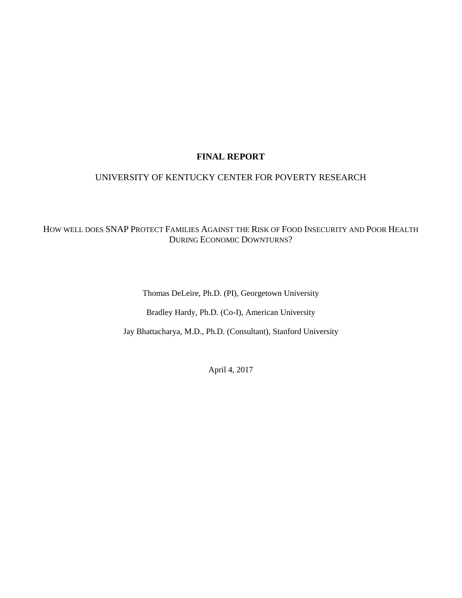## **FINAL REPORT**

# UNIVERSITY OF KENTUCKY CENTER FOR POVERTY RESEARCH

# HOW WELL DOES SNAP PROTECT FAMILIES AGAINST THE RISK OF FOOD INSECURITY AND POOR HEALTH DURING ECONOMIC DOWNTURNS?

Thomas DeLeire, Ph.D. (PI), Georgetown University

Bradley Hardy, Ph.D. (Co-I), American University

Jay Bhattacharya, M.D., Ph.D. (Consultant), Stanford University

April 4, 2017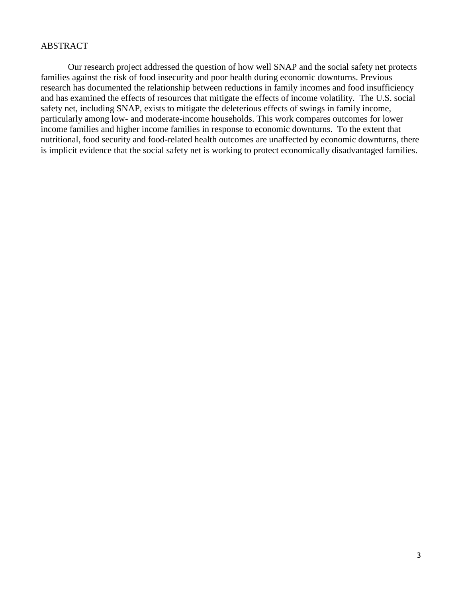#### ABSTRACT

Our research project addressed the question of how well SNAP and the social safety net protects families against the risk of food insecurity and poor health during economic downturns. Previous research has documented the relationship between reductions in family incomes and food insufficiency and has examined the effects of resources that mitigate the effects of income volatility. The U.S. social safety net, including SNAP, exists to mitigate the deleterious effects of swings in family income, particularly among low- and moderate-income households. This work compares outcomes for lower income families and higher income families in response to economic downturns. To the extent that nutritional, food security and food-related health outcomes are unaffected by economic downturns, there is implicit evidence that the social safety net is working to protect economically disadvantaged families.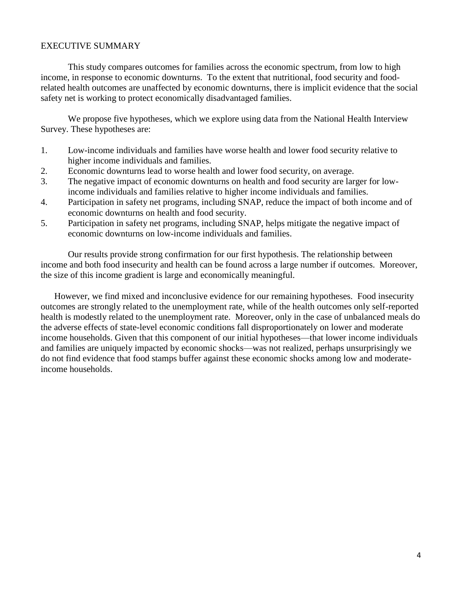# EXECUTIVE SUMMARY

This study compares outcomes for families across the economic spectrum, from low to high income, in response to economic downturns. To the extent that nutritional, food security and foodrelated health outcomes are unaffected by economic downturns, there is implicit evidence that the social safety net is working to protect economically disadvantaged families.

We propose five hypotheses, which we explore using data from the National Health Interview Survey. These hypotheses are:

- 1. Low-income individuals and families have worse health and lower food security relative to higher income individuals and families.
- 2. Economic downturns lead to worse health and lower food security, on average.
- 3. The negative impact of economic downturns on health and food security are larger for lowincome individuals and families relative to higher income individuals and families.
- 4. Participation in safety net programs, including SNAP, reduce the impact of both income and of economic downturns on health and food security.
- 5. Participation in safety net programs, including SNAP, helps mitigate the negative impact of economic downturns on low-income individuals and families.

Our results provide strong confirmation for our first hypothesis. The relationship between income and both food insecurity and health can be found across a large number if outcomes. Moreover, the size of this income gradient is large and economically meaningful.

However, we find mixed and inconclusive evidence for our remaining hypotheses. Food insecurity outcomes are strongly related to the unemployment rate, while of the health outcomes only self-reported health is modestly related to the unemployment rate. Moreover, only in the case of unbalanced meals do the adverse effects of state-level economic conditions fall disproportionately on lower and moderate income households. Given that this component of our initial hypotheses—that lower income individuals and families are uniquely impacted by economic shocks—was not realized, perhaps unsurprisingly we do not find evidence that food stamps buffer against these economic shocks among low and moderateincome households.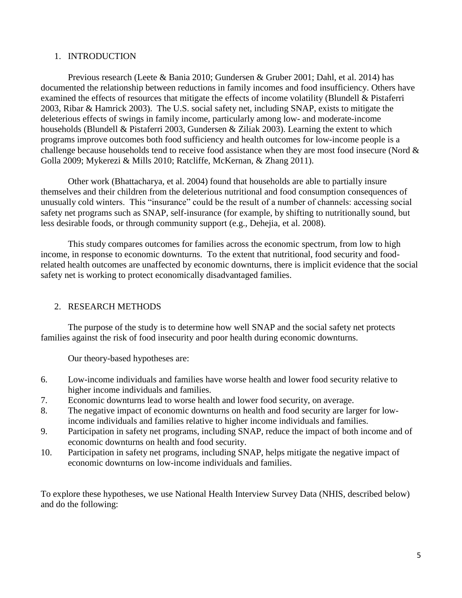#### 1. INTRODUCTION

Previous research (Leete & Bania 2010; Gundersen & Gruber 2001; Dahl, et al. 2014) has documented the relationship between reductions in family incomes and food insufficiency. Others have examined the effects of resources that mitigate the effects of income volatility (Blundell & Pistaferri 2003, Ribar & Hamrick 2003). The U.S. social safety net, including SNAP, exists to mitigate the deleterious effects of swings in family income, particularly among low- and moderate-income households (Blundell & Pistaferri 2003, Gundersen & Ziliak 2003). Learning the extent to which programs improve outcomes both food sufficiency and health outcomes for low-income people is a challenge because households tend to receive food assistance when they are most food insecure (Nord & Golla 2009; Mykerezi & Mills 2010; Ratcliffe, McKernan, & Zhang 2011).

Other work (Bhattacharya, et al. 2004) found that households are able to partially insure themselves and their children from the deleterious nutritional and food consumption consequences of unusually cold winters. This "insurance" could be the result of a number of channels: accessing social safety net programs such as SNAP, self-insurance (for example, by shifting to nutritionally sound, but less desirable foods, or through community support (e.g., Dehejia, et al. 2008).

This study compares outcomes for families across the economic spectrum, from low to high income, in response to economic downturns. To the extent that nutritional, food security and foodrelated health outcomes are unaffected by economic downturns, there is implicit evidence that the social safety net is working to protect economically disadvantaged families.

#### 2. RESEARCH METHODS

The purpose of the study is to determine how well SNAP and the social safety net protects families against the risk of food insecurity and poor health during economic downturns.

Our theory-based hypotheses are:

- 6. Low-income individuals and families have worse health and lower food security relative to higher income individuals and families.
- 7. Economic downturns lead to worse health and lower food security, on average.
- 8. The negative impact of economic downturns on health and food security are larger for lowincome individuals and families relative to higher income individuals and families.
- 9. Participation in safety net programs, including SNAP, reduce the impact of both income and of economic downturns on health and food security.
- 10. Participation in safety net programs, including SNAP, helps mitigate the negative impact of economic downturns on low-income individuals and families.

To explore these hypotheses, we use National Health Interview Survey Data (NHIS, described below) and do the following: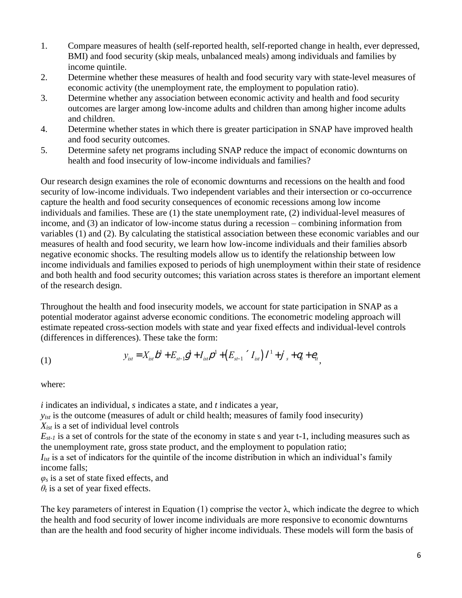- 1. Compare measures of health (self-reported health, self-reported change in health, ever depressed, BMI) and food security (skip meals, unbalanced meals) among individuals and families by income quintile.
- 2. Determine whether these measures of health and food security vary with state-level measures of economic activity (the unemployment rate, the employment to population ratio).
- 3. Determine whether any association between economic activity and health and food security outcomes are larger among low-income adults and children than among higher income adults and children.
- 4. Determine whether states in which there is greater participation in SNAP have improved health and food security outcomes.
- 5. Determine safety net programs including SNAP reduce the impact of economic downturns on health and food insecurity of low-income individuals and families?

Our research design examines the role of economic downturns and recessions on the health and food security of low-income individuals. Two independent variables and their intersection or co-occurrence capture the health and food security consequences of economic recessions among low income individuals and families. These are (1) the state unemployment rate, (2) individual-level measures of income, and (3) an indicator of low-income status during a recession – combining information from variables (1) and (2). By calculating the statistical association between these economic variables and our measures of health and food security, we learn how low-income individuals and their families absorb negative economic shocks. The resulting models allow us to identify the relationship between low income individuals and families exposed to periods of high unemployment within their state of residence and both health and food security outcomes; this variation across states is therefore an important element of the research design.

Throughout the health and food insecurity models, we account for state participation in SNAP as a potential moderator against adverse economic conditions. The econometric modeling approach will estimate repeated cross-section models with state and year fixed effects and individual-level controls (differences in differences). These take the form:

(1) 
$$
y_{ist} = X_{ist}b^{1} + E_{st-1}b^{1} + I_{ist}b^{1} + (E_{st-1}^{'} I_{ist})^{1} + (I_{st}^{'} I_{st})^{1} + (I_{st}^{'} I_{st})^{1} + (I_{st}^{'} I_{st})^{1} + (I_{st}^{'} I_{st})^{1} + (I_{st}^{'} I_{st})^{1} + (I_{st}^{'} I_{st})^{1} + (I_{st}^{'} I_{st})^{1} + (I_{st}^{'} I_{st})^{1} + (I_{st}^{'} I_{st})^{1} + (I_{st}^{'} I_{st})^{1} + (I_{st}^{'} I_{st})^{1} + (I_{st}^{'} I_{st})^{1} + (I_{st}^{'} I_{st})^{1} + (I_{st}^{'} I_{st})^{1} + (I_{st}^{'} I_{st})^{1} + (I_{st}^{'} I_{st})^{1} + (I_{st}^{'} I_{st})^{1} + (I_{st}^{'} I_{st})^{1} + (I_{st}^{'} I_{st})^{1} + (I_{st}^{'} I_{st})^{1} + (I_{st}^{'} I_{st})^{1} + (I_{st}^{'} I_{st})^{1} + (I_{st}^{'} I_{st})^{1} + (I_{st}^{'} I_{st})^{1} + (I_{st}^{'} I_{st})^{1} + (I_{st}^{'} I_{st})^{1} + (I_{st}^{'} I_{st})^{1} + (I_{st}^{'} I_{st})^{1} + (I_{st}^{'} I_{st})^{1} + (I_{st}^{'} I_{st})^{1} + (I_{st}^{'} I_{st})^{1} + (I_{st}^{'} I_{st})^{1} + (I_{st}^{'} I_{st})^{1} + (I_{st}^{'} I_{st})^{1} + (I_{st}^{'} I_{st})^{1} + (I_{st}^{'} I_{st})^{1} + (I_{st}^{'} I_{st})^{1} + (I_{st}^{'} I_{st})^{1} + (I_{st}^{'} I_{st})^{1} + (I_{st}^{'} I_{st})^{1} + (I_{st}^{'} I_{st})^{1} + (I_{st}^{'} I_{st})^{1} + (I_{st}^{'} I_{st})^{1} + (I_{st}^{'} I_{st})^{1} + (I_{st}^{'} I_{st})^{1} + (I_{st}^{'} I_{st})^{1} + (I_{st}^{'} I_{st})^{1} +
$$

where:

*i* indicates an individual, *s* indicates a state, and *t* indicates a year,

*y*<sub>ist</sub> is the outcome (measures of adult or child health; measures of family food insecurity)

*Xist* is a set of individual level controls

 $E_{st-1}$  is a set of controls for the state of the economy in state s and year t-1, including measures such as the unemployment rate, gross state product, and the employment to population ratio;

*I*<sub>ist</sub> is a set of indicators for the quintile of the income distribution in which an individual's family income falls;

*φ<sup>s</sup>* is a set of state fixed effects, and

 $\theta_t$  is a set of year fixed effects.

The key parameters of interest in Equation (1) comprise the vector  $\lambda$ , which indicate the degree to which the health and food security of lower income individuals are more responsive to economic downturns than are the health and food security of higher income individuals. These models will form the basis of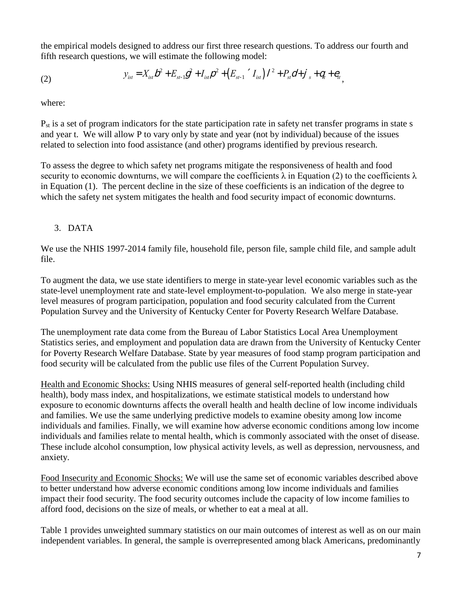the empirical models designed to address our first three research questions. To address our fourth and fifth research questions, we will estimate the following model:

(2) 
$$
y_{ist} = X_{ist}b^2 + E_{st-1}g^2 + I_{ist}b^2 + (E_{st-1}{}^{\prime} I_{ist})^2 + P_{st}d + J_{s} + q_{t} + e_{it},
$$

where:

P<sub>st</sub> is a set of program indicators for the state participation rate in safety net transfer programs in state s and year t. We will allow P to vary only by state and year (not by individual) because of the issues related to selection into food assistance (and other) programs identified by previous research.

To assess the degree to which safety net programs mitigate the responsiveness of health and food security to economic downturns, we will compare the coefficients  $\lambda$  in Equation (2) to the coefficients  $\lambda$ in Equation (1). The percent decline in the size of these coefficients is an indication of the degree to which the safety net system mitigates the health and food security impact of economic downturns.

# 3. DATA

We use the NHIS 1997-2014 family file, household file, person file, sample child file, and sample adult file.

To augment the data, we use state identifiers to merge in state-year level economic variables such as the state-level unemployment rate and state-level employment-to-population. We also merge in state-year level measures of program participation, population and food security calculated from the Current Population Survey and the University of Kentucky Center for Poverty Research Welfare Database.

The unemployment rate data come from the Bureau of Labor Statistics Local Area Unemployment Statistics series, and employment and population data are drawn from the University of Kentucky Center for Poverty Research Welfare Database. State by year measures of food stamp program participation and food security will be calculated from the public use files of the Current Population Survey.

Health and Economic Shocks: Using NHIS measures of general self-reported health (including child health), body mass index, and hospitalizations, we estimate statistical models to understand how exposure to economic downturns affects the overall health and health decline of low income individuals and families. We use the same underlying predictive models to examine obesity among low income individuals and families. Finally, we will examine how adverse economic conditions among low income individuals and families relate to mental health, which is commonly associated with the onset of disease. These include alcohol consumption, low physical activity levels, as well as depression, nervousness, and anxiety.

Food Insecurity and Economic Shocks: We will use the same set of economic variables described above to better understand how adverse economic conditions among low income individuals and families impact their food security. The food security outcomes include the capacity of low income families to afford food, decisions on the size of meals, or whether to eat a meal at all.

Table 1 provides unweighted summary statistics on our main outcomes of interest as well as on our main independent variables. In general, the sample is overrepresented among black Americans, predominantly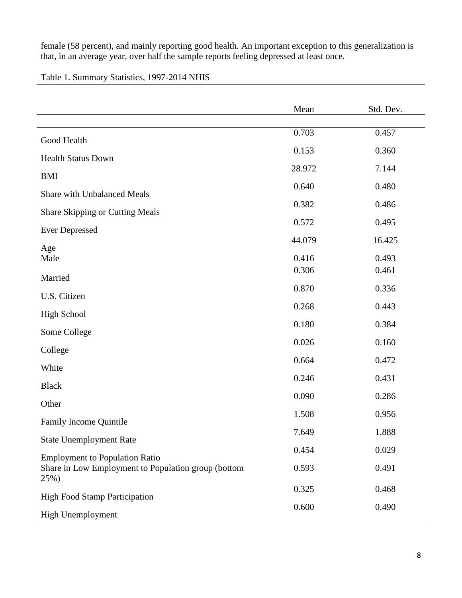female (58 percent), and mainly reporting good health. An important exception to this generalization is that, in an average year, over half the sample reports feeling depressed at least once.

# Table 1. Summary Statistics, 1997-2014 NHIS

| 0.703<br>0.457<br>Good Health<br>0.153<br>0.360<br><b>Health Status Down</b><br>28.972<br>7.144<br><b>BMI</b><br>0.640<br>0.480<br><b>Share with Unbalanced Meals</b><br>0.382<br>0.486<br><b>Share Skipping or Cutting Meals</b><br>0.572<br>0.495<br><b>Ever Depressed</b><br>44.079<br>16.425<br>Age<br>0.416<br>0.493<br>Male<br>0.306<br>0.461<br>Married<br>0.870<br>0.336<br>U.S. Citizen<br>0.268<br>0.443<br><b>High School</b><br>0.180<br>0.384<br>Some College<br>0.026<br>0.160<br>College<br>0.664<br>0.472<br>White<br>0.246<br>0.431<br><b>Black</b><br>0.090<br>0.286<br>Other<br>1.508<br>0.956<br>Family Income Quintile<br>1.888<br>7.649<br><b>State Unemployment Rate</b><br>0.454<br>0.029<br><b>Employment to Population Ratio</b><br>Share in Low Employment to Population group (bottom<br>0.593<br>0.491<br>25%)<br>0.325<br>0.468<br><b>High Food Stamp Participation</b> | Mean  | Std. Dev. |
|-------------------------------------------------------------------------------------------------------------------------------------------------------------------------------------------------------------------------------------------------------------------------------------------------------------------------------------------------------------------------------------------------------------------------------------------------------------------------------------------------------------------------------------------------------------------------------------------------------------------------------------------------------------------------------------------------------------------------------------------------------------------------------------------------------------------------------------------------------------------------------------------------------|-------|-----------|
|                                                                                                                                                                                                                                                                                                                                                                                                                                                                                                                                                                                                                                                                                                                                                                                                                                                                                                       |       |           |
|                                                                                                                                                                                                                                                                                                                                                                                                                                                                                                                                                                                                                                                                                                                                                                                                                                                                                                       |       |           |
|                                                                                                                                                                                                                                                                                                                                                                                                                                                                                                                                                                                                                                                                                                                                                                                                                                                                                                       |       |           |
|                                                                                                                                                                                                                                                                                                                                                                                                                                                                                                                                                                                                                                                                                                                                                                                                                                                                                                       |       |           |
|                                                                                                                                                                                                                                                                                                                                                                                                                                                                                                                                                                                                                                                                                                                                                                                                                                                                                                       |       |           |
|                                                                                                                                                                                                                                                                                                                                                                                                                                                                                                                                                                                                                                                                                                                                                                                                                                                                                                       |       |           |
|                                                                                                                                                                                                                                                                                                                                                                                                                                                                                                                                                                                                                                                                                                                                                                                                                                                                                                       |       |           |
|                                                                                                                                                                                                                                                                                                                                                                                                                                                                                                                                                                                                                                                                                                                                                                                                                                                                                                       |       |           |
|                                                                                                                                                                                                                                                                                                                                                                                                                                                                                                                                                                                                                                                                                                                                                                                                                                                                                                       |       |           |
|                                                                                                                                                                                                                                                                                                                                                                                                                                                                                                                                                                                                                                                                                                                                                                                                                                                                                                       |       |           |
|                                                                                                                                                                                                                                                                                                                                                                                                                                                                                                                                                                                                                                                                                                                                                                                                                                                                                                       |       |           |
|                                                                                                                                                                                                                                                                                                                                                                                                                                                                                                                                                                                                                                                                                                                                                                                                                                                                                                       |       |           |
|                                                                                                                                                                                                                                                                                                                                                                                                                                                                                                                                                                                                                                                                                                                                                                                                                                                                                                       |       |           |
|                                                                                                                                                                                                                                                                                                                                                                                                                                                                                                                                                                                                                                                                                                                                                                                                                                                                                                       |       |           |
|                                                                                                                                                                                                                                                                                                                                                                                                                                                                                                                                                                                                                                                                                                                                                                                                                                                                                                       |       |           |
|                                                                                                                                                                                                                                                                                                                                                                                                                                                                                                                                                                                                                                                                                                                                                                                                                                                                                                       |       |           |
|                                                                                                                                                                                                                                                                                                                                                                                                                                                                                                                                                                                                                                                                                                                                                                                                                                                                                                       |       |           |
|                                                                                                                                                                                                                                                                                                                                                                                                                                                                                                                                                                                                                                                                                                                                                                                                                                                                                                       |       |           |
|                                                                                                                                                                                                                                                                                                                                                                                                                                                                                                                                                                                                                                                                                                                                                                                                                                                                                                       |       |           |
|                                                                                                                                                                                                                                                                                                                                                                                                                                                                                                                                                                                                                                                                                                                                                                                                                                                                                                       |       |           |
|                                                                                                                                                                                                                                                                                                                                                                                                                                                                                                                                                                                                                                                                                                                                                                                                                                                                                                       |       |           |
|                                                                                                                                                                                                                                                                                                                                                                                                                                                                                                                                                                                                                                                                                                                                                                                                                                                                                                       |       |           |
| High Unemployment                                                                                                                                                                                                                                                                                                                                                                                                                                                                                                                                                                                                                                                                                                                                                                                                                                                                                     | 0.600 | 0.490     |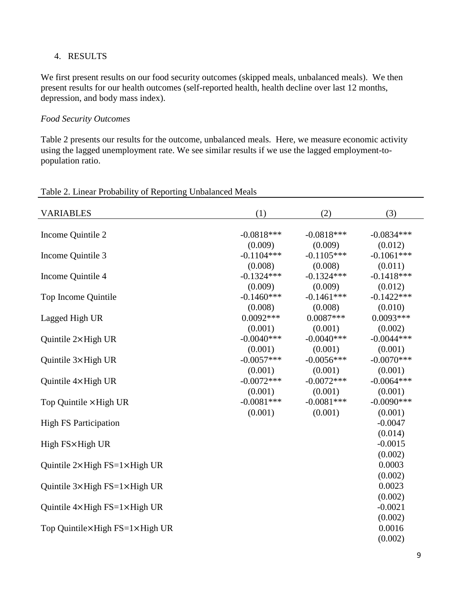## 4. RESULTS

We first present results on our food security outcomes (skipped meals, unbalanced meals). We then present results for our health outcomes (self-reported health, health decline over last 12 months, depression, and body mass index).

#### *Food Security Outcomes*

Table 2 presents our results for the outcome, unbalanced meals. Here, we measure economic activity using the lagged unemployment rate. We see similar results if we use the lagged employment-topopulation ratio.

| <b>VARIABLES</b>                                | (1)          | (2)           | (3)                  |
|-------------------------------------------------|--------------|---------------|----------------------|
| Income Quintile 2                               | $-0.0818***$ | $-0.0818***$  | $-0.0834***$         |
| Income Quintile 3                               | (0.009)      | (0.009)       | (0.012)              |
|                                                 | $-0.1104***$ | $-0.1105***$  | $-0.1061***$         |
| Income Quintile 4                               | (0.008)      | (0.008)       | (0.011)              |
|                                                 | $-0.1324***$ | $-0.1324***$  | $-0.1418***$         |
|                                                 | (0.009)      | (0.009)       | (0.012)              |
| Top Income Quintile                             | $-0.1460***$ | $-0.1461***$  | $-0.1422***$         |
|                                                 | (0.008)      | (0.008)       | (0.010)              |
| Lagged High UR                                  | $0.0092***$  | $0.0087***$   | $0.0093***$          |
|                                                 | (0.001)      | (0.001)       | (0.002)              |
| Quintile $2 \times$ High UR                     | $-0.0040***$ | $-0.0040$ *** | $-0.0044***$         |
|                                                 | (0.001)      | (0.001)       | (0.001)              |
| Quintile 3×High UR                              | $-0.0057***$ | $-0.0056***$  | $-0.0070$ ***        |
|                                                 | (0.001)      | (0.001)       | (0.001)              |
| Quintile 4×High UR                              | $-0.0072***$ | $-0.0072***$  | $-0.0064***$         |
|                                                 | (0.001)      | (0.001)       | (0.001)              |
| Top Quintile × High UR                          | $-0.0081***$ | $-0.0081***$  | $-0.0090***$         |
|                                                 | (0.001)      | (0.001)       | (0.001)              |
| <b>High FS Participation</b>                    |              |               | $-0.0047$<br>(0.014) |
| High FS×High UR                                 |              |               | $-0.0015$<br>(0.002) |
| Quintile $2 \times$ High FS= $1 \times$ High UR |              |               | 0.0003<br>(0.002)    |
| Quintile $3 \times$ High FS= $1 \times$ High UR |              |               | 0.0023<br>(0.002)    |
| Quintile $4 \times$ High FS= $1 \times$ High UR |              |               | $-0.0021$<br>(0.002) |
| Top Quintile×High FS=1×High UR                  |              |               | 0.0016<br>(0.002)    |

## Table 2. Linear Probability of Reporting Unbalanced Meals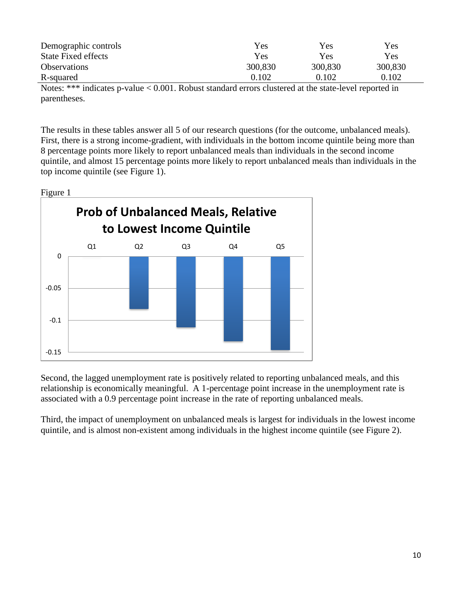| Demographic controls       | Yes     | Yes     | Yes        |
|----------------------------|---------|---------|------------|
| <b>State Fixed effects</b> | Yes     | Yes     | <b>Yes</b> |
| <b>Observations</b>        | 300,830 | 300,830 | 300,830    |
| R-squared                  | 0.102   | 0.102   | 0.102      |

Notes: \*\*\* indicates p-value < 0.001. Robust standard errors clustered at the state-level reported in parentheses.

The results in these tables answer all 5 of our research questions (for the outcome, unbalanced meals). First, there is a strong income-gradient, with individuals in the bottom income quintile being more than 8 percentage points more likely to report unbalanced meals than individuals in the second income quintile, and almost 15 percentage points more likely to report unbalanced meals than individuals in the top income quintile (see Figure 1).



Second, the lagged unemployment rate is positively related to reporting unbalanced meals, and this relationship is economically meaningful. A 1-percentage point increase in the unemployment rate is associated with a 0.9 percentage point increase in the rate of reporting unbalanced meals.

Third, the impact of unemployment on unbalanced meals is largest for individuals in the lowest income quintile, and is almost non-existent among individuals in the highest income quintile (see Figure 2).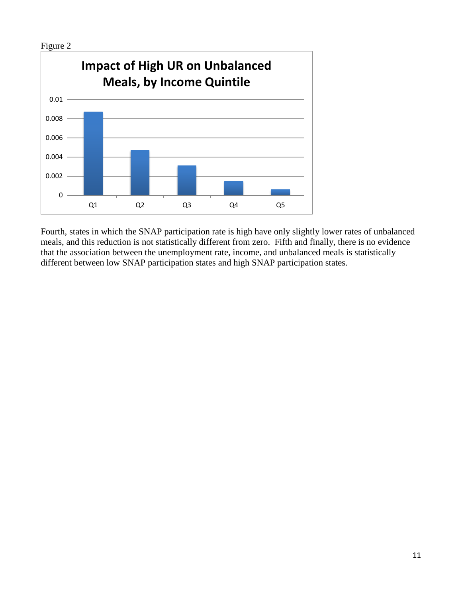

Fourth, states in which the SNAP participation rate is high have only slightly lower rates of unbalanced meals, and this reduction is not statistically different from zero. Fifth and finally, there is no evidence that the association between the unemployment rate, income, and unbalanced meals is statistically different between low SNAP participation states and high SNAP participation states.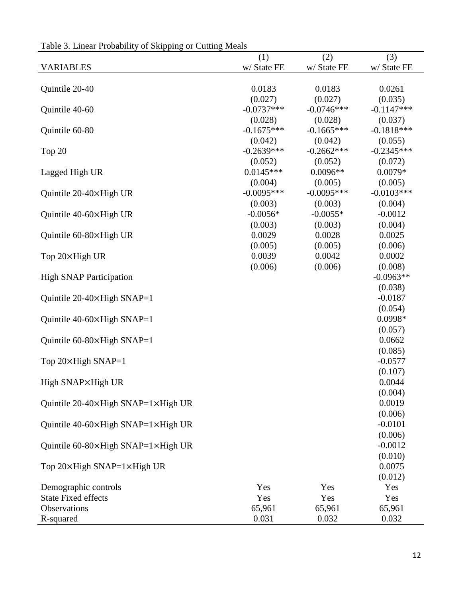| racio s. Elliour i rocactify of Skipping of Catting Modes |              |              |              |
|-----------------------------------------------------------|--------------|--------------|--------------|
|                                                           | (1)          | (2)          | (3)          |
| <b>VARIABLES</b>                                          | w/ State FE  | w/ State FE  | w/ State FE  |
|                                                           |              |              |              |
| Quintile 20-40                                            | 0.0183       | 0.0183       | 0.0261       |
|                                                           | (0.027)      | (0.027)      | (0.035)      |
| Quintile 40-60                                            | $-0.0737***$ | $-0.0746***$ | $-0.1147***$ |
|                                                           | (0.028)      | (0.028)      | (0.037)      |
| Quintile 60-80                                            | $-0.1675***$ | $-0.1665***$ | $-0.1818***$ |
|                                                           | (0.042)      | (0.042)      | (0.055)      |
| Top $20$                                                  | $-0.2639***$ | $-0.2662***$ | $-0.2345***$ |
|                                                           | (0.052)      | (0.052)      | (0.072)      |
| Lagged High UR                                            | $0.0145***$  | $0.0096**$   | $0.0079*$    |
|                                                           | (0.004)      | (0.005)      | (0.005)      |
| Quintile 20-40×High UR                                    | $-0.0095***$ | $-0.0095***$ | $-0.0103***$ |
|                                                           | (0.003)      | (0.003)      | (0.004)      |
| Quintile 40-60×High UR                                    | $-0.0056*$   | $-0.0055*$   | $-0.0012$    |
|                                                           | (0.003)      | (0.003)      | (0.004)      |
| Quintile 60-80×High UR                                    | 0.0029       | 0.0028       | 0.0025       |
|                                                           | (0.005)      | (0.005)      | (0.006)      |
| Top 20×High UR                                            | 0.0039       | 0.0042       | 0.0002       |
|                                                           | (0.006)      | (0.006)      | (0.008)      |
| <b>High SNAP Participation</b>                            |              |              | $-0.0963**$  |
|                                                           |              |              | (0.038)      |
| Quintile 20-40×High SNAP=1                                |              |              | $-0.0187$    |
|                                                           |              |              | (0.054)      |
| Quintile $40-60 \times$ High SNAP=1                       |              |              | 0.0998*      |
|                                                           |              |              | (0.057)      |
| Quintile $60-80 \times$ High SNAP=1                       |              |              | 0.0662       |
|                                                           |              |              | (0.085)      |
| Top 20×High SNAP=1                                        |              |              | $-0.0577$    |
|                                                           |              |              | (0.107)      |
| High SNAP×High UR                                         |              |              | 0.0044       |
|                                                           |              |              | (0.004)      |
| Quintile 20-40×High SNAP=1×High UR                        |              |              | 0.0019       |
|                                                           |              |              | (0.006)      |
| Quintile 40-60×High SNAP=1×High UR                        |              |              | $-0.0101$    |
|                                                           |              |              | (0.006)      |
| Quintile 60-80×High SNAP=1×High UR                        |              |              | $-0.0012$    |
|                                                           |              |              | (0.010)      |
| Top 20×High SNAP=1×High UR                                |              |              | 0.0075       |
|                                                           |              |              | (0.012)      |
| Demographic controls                                      | Yes          | Yes          | Yes          |
| <b>State Fixed effects</b>                                | Yes          | Yes          | Yes          |
| Observations                                              | 65,961       | 65,961       | 65,961       |
| R-squared                                                 | 0.031        | 0.032        | 0.032        |

Table 3. Linear Probability of Skipping or Cutting Meals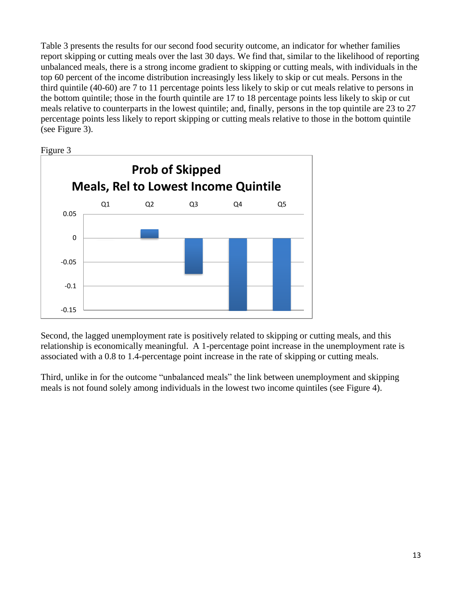Table 3 presents the results for our second food security outcome, an indicator for whether families report skipping or cutting meals over the last 30 days. We find that, similar to the likelihood of reporting unbalanced meals, there is a strong income gradient to skipping or cutting meals, with individuals in the top 60 percent of the income distribution increasingly less likely to skip or cut meals. Persons in the third quintile (40-60) are 7 to 11 percentage points less likely to skip or cut meals relative to persons in the bottom quintile; those in the fourth quintile are 17 to 18 percentage points less likely to skip or cut meals relative to counterparts in the lowest quintile; and, finally, persons in the top quintile are 23 to 27 percentage points less likely to report skipping or cutting meals relative to those in the bottom quintile (see Figure 3).





Second, the lagged unemployment rate is positively related to skipping or cutting meals, and this relationship is economically meaningful. A 1-percentage point increase in the unemployment rate is associated with a 0.8 to 1.4-percentage point increase in the rate of skipping or cutting meals.

Third, unlike in for the outcome "unbalanced meals" the link between unemployment and skipping meals is not found solely among individuals in the lowest two income quintiles (see Figure 4).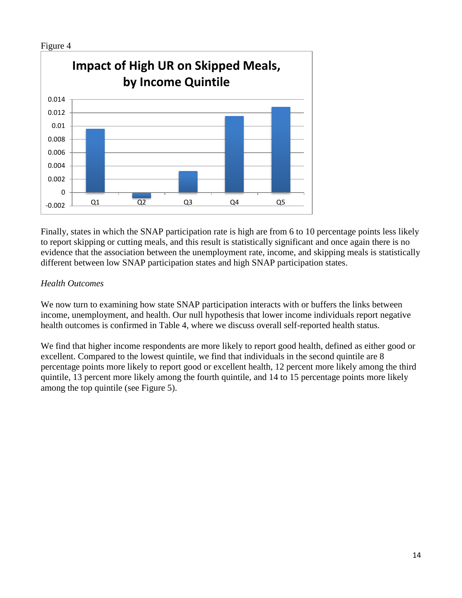

Finally, states in which the SNAP participation rate is high are from 6 to 10 percentage points less likely to report skipping or cutting meals, and this result is statistically significant and once again there is no evidence that the association between the unemployment rate, income, and skipping meals is statistically different between low SNAP participation states and high SNAP participation states.

# *Health Outcomes*

We now turn to examining how state SNAP participation interacts with or buffers the links between income, unemployment, and health. Our null hypothesis that lower income individuals report negative health outcomes is confirmed in Table 4, where we discuss overall self-reported health status.

We find that higher income respondents are more likely to report good health, defined as either good or excellent. Compared to the lowest quintile, we find that individuals in the second quintile are 8 percentage points more likely to report good or excellent health, 12 percent more likely among the third quintile, 13 percent more likely among the fourth quintile, and 14 to 15 percentage points more likely among the top quintile (see Figure 5).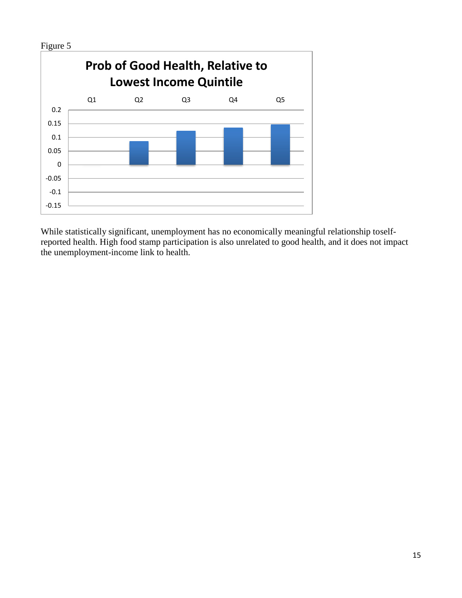

While statistically significant, unemployment has no economically meaningful relationship toselfreported health. High food stamp participation is also unrelated to good health, and it does not impact the unemployment-income link to health.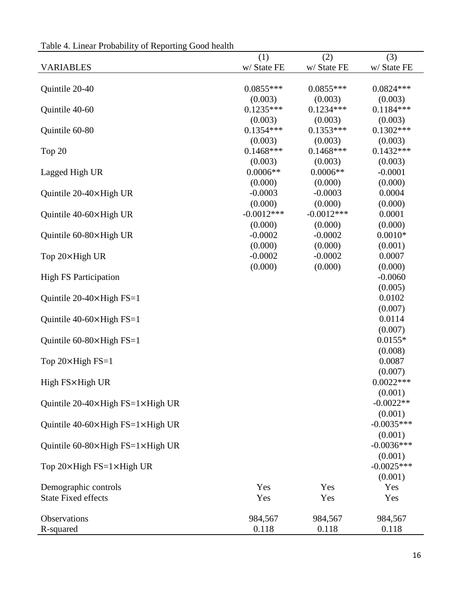|                                                    | (1)          | (2)          | (3)          |
|----------------------------------------------------|--------------|--------------|--------------|
| <b>VARIABLES</b>                                   | w/ State FE  | w/ State FE  | w/ State FE  |
|                                                    |              |              |              |
| Quintile 20-40                                     | $0.0855***$  | $0.0855***$  | $0.0824***$  |
|                                                    | (0.003)      | (0.003)      | (0.003)      |
| Quintile 40-60                                     | $0.1235***$  | $0.1234***$  | $0.1184***$  |
|                                                    | (0.003)      | (0.003)      | (0.003)      |
| Quintile 60-80                                     | $0.1354***$  | $0.1353***$  | $0.1302***$  |
|                                                    | (0.003)      | (0.003)      | (0.003)      |
| Top 20                                             | $0.1468***$  | $0.1468$ *** | $0.1432***$  |
|                                                    | (0.003)      | (0.003)      | (0.003)      |
| Lagged High UR                                     | $0.0006**$   | $0.0006**$   | $-0.0001$    |
|                                                    | (0.000)      | (0.000)      | (0.000)      |
| Quintile 20-40×High UR                             | $-0.0003$    | $-0.0003$    | 0.0004       |
|                                                    | (0.000)      | (0.000)      | (0.000)      |
| Quintile 40-60×High UR                             | $-0.0012***$ | $-0.0012***$ | 0.0001       |
|                                                    | (0.000)      | (0.000)      | (0.000)      |
| Quintile 60-80×High UR                             | $-0.0002$    | $-0.0002$    | $0.0010*$    |
|                                                    | (0.000)      | (0.000)      | (0.001)      |
| Top 20×High UR                                     | $-0.0002$    | $-0.0002$    | 0.0007       |
|                                                    | (0.000)      | (0.000)      | (0.000)      |
| <b>High FS Participation</b>                       |              |              | $-0.0060$    |
|                                                    |              |              | (0.005)      |
| Quintile 20-40 $\times$ High FS=1                  |              |              | 0.0102       |
|                                                    |              |              | (0.007)      |
| Quintile $40-60 \times$ High FS=1                  |              |              | 0.0114       |
|                                                    |              |              | (0.007)      |
| Quintile $60-80\times$ High FS=1                   |              |              | $0.0155*$    |
|                                                    |              |              | (0.008)      |
| Top 20×High FS=1                                   |              |              | 0.0087       |
|                                                    |              |              | (0.007)      |
| High FS×High UR                                    |              |              | $0.0022***$  |
|                                                    |              |              | (0.001)      |
| Quintile $20-40 \times$ High FS=1 $\times$ High UR |              |              | $-0.0022**$  |
|                                                    |              |              | (0.001)      |
| Quintile $40-60 \times$ High FS=1 $\times$ High UR |              |              | $-0.0035***$ |
|                                                    |              |              | (0.001)      |
| Quintile 60-80×High FS=1×High UR                   |              |              | $-0.0036***$ |
|                                                    |              |              | (0.001)      |
| Top 20×High FS=1×High UR                           |              |              | $-0.0025***$ |
|                                                    |              |              | (0.001)      |
| Demographic controls                               | Yes          | Yes          | Yes          |
| <b>State Fixed effects</b>                         | Yes          | Yes          | Yes          |
|                                                    |              |              |              |
| Observations                                       | 984,567      | 984,567      | 984,567      |
| R-squared                                          | 0.118        | 0.118        | 0.118        |

Table 4. Linear Probability of Reporting Good health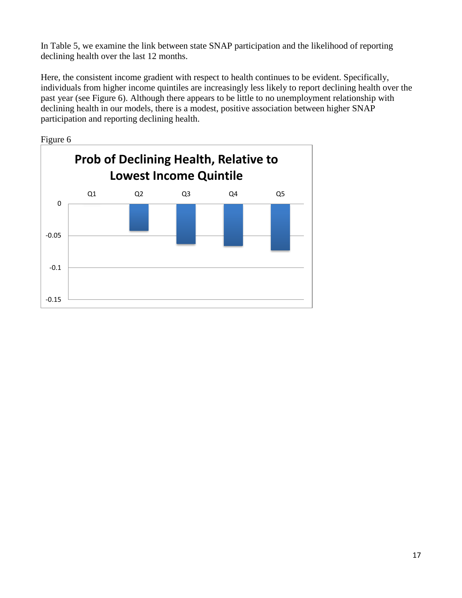In Table 5, we examine the link between state SNAP participation and the likelihood of reporting declining health over the last 12 months.

Here, the consistent income gradient with respect to health continues to be evident. Specifically, individuals from higher income quintiles are increasingly less likely to report declining health over the past year (see Figure 6). Although there appears to be little to no unemployment relationship with declining health in our models, there is a modest, positive association between higher SNAP participation and reporting declining health.

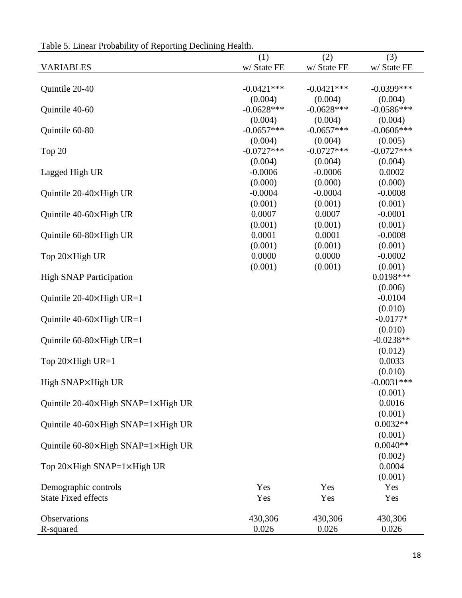| radio 9. Emicar i robability of ixeporting Declining Ficarul. |              |              |               |
|---------------------------------------------------------------|--------------|--------------|---------------|
|                                                               | (1)          | (2)          | (3)           |
| <b>VARIABLES</b>                                              | w/ State FE  | w/ State FE  | w/ State FE   |
|                                                               |              |              |               |
| Quintile 20-40                                                | $-0.0421***$ | $-0.0421***$ | $-0.0399$ *** |
|                                                               | (0.004)      | (0.004)      | (0.004)       |
| Quintile 40-60                                                | $-0.0628***$ | $-0.0628***$ | $-0.0586***$  |
|                                                               | (0.004)      | (0.004)      | (0.004)       |
| Quintile 60-80                                                | $-0.0657***$ | $-0.0657***$ | $-0.0606***$  |
|                                                               | (0.004)      | (0.004)      | (0.005)       |
| Top 20                                                        | $-0.0727***$ | $-0.0727***$ | $-0.0727***$  |
|                                                               | (0.004)      | (0.004)      | (0.004)       |
| Lagged High UR                                                | $-0.0006$    | $-0.0006$    | 0.0002        |
|                                                               | (0.000)      | (0.000)      | (0.000)       |
| Quintile 20-40×High UR                                        | $-0.0004$    | $-0.0004$    | $-0.0008$     |
|                                                               | (0.001)      | (0.001)      | (0.001)       |
| Quintile 40-60×High UR                                        | 0.0007       | 0.0007       | $-0.0001$     |
|                                                               | (0.001)      | (0.001)      | (0.001)       |
| Quintile 60-80×High UR                                        | 0.0001       | 0.0001       | $-0.0008$     |
|                                                               | (0.001)      | (0.001)      | (0.001)       |
| Top 20×High UR                                                | 0.0000       | 0.0000       | $-0.0002$     |
|                                                               | (0.001)      | (0.001)      | (0.001)       |
| <b>High SNAP Participation</b>                                |              |              | 0.0198***     |
|                                                               |              |              | (0.006)       |
| Quintile $20-40 \times$ High UR=1                             |              |              | $-0.0104$     |
|                                                               |              |              | (0.010)       |
| Quintile $40-60 \times$ High UR=1                             |              |              | $-0.0177*$    |
|                                                               |              |              | (0.010)       |
| Quintile $60-80 \times$ High UR=1                             |              |              | $-0.0238**$   |
|                                                               |              |              | (0.012)       |
| Top $20 \times$ High UR=1                                     |              |              | 0.0033        |
|                                                               |              |              | (0.010)       |
| High SNAP×High UR                                             |              |              | $-0.0031***$  |
|                                                               |              |              | (0.001)       |
| Quintile 20-40×High SNAP=1×High UR                            |              |              | 0.0016        |
|                                                               |              |              | (0.001)       |
| Quintile 40-60×High SNAP=1×High UR                            |              |              | $0.0032**$    |
|                                                               |              |              | (0.001)       |
| Quintile 60-80×High SNAP=1×High UR                            |              |              | $0.0040**$    |
|                                                               |              |              | (0.002)       |
| Top 20×High SNAP=1×High UR                                    |              |              | 0.0004        |
|                                                               |              |              | (0.001)       |
| Demographic controls                                          | Yes          | Yes          | Yes           |
| <b>State Fixed effects</b>                                    | Yes          | Yes          | Yes           |
|                                                               |              |              |               |
| Observations                                                  | 430,306      | 430,306      | 430,306       |
| R-squared                                                     | 0.026        | 0.026        | 0.026         |
|                                                               |              |              |               |

Table 5. Linear Probability of Reporting Declining Health.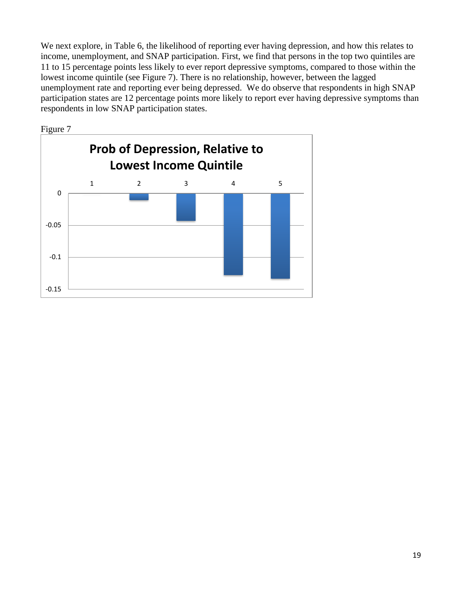We next explore, in Table 6, the likelihood of reporting ever having depression, and how this relates to income, unemployment, and SNAP participation. First, we find that persons in the top two quintiles are 11 to 15 percentage points less likely to ever report depressive symptoms, compared to those within the lowest income quintile (see Figure 7). There is no relationship, however, between the lagged unemployment rate and reporting ever being depressed. We do observe that respondents in high SNAP participation states are 12 percentage points more likely to report ever having depressive symptoms than respondents in low SNAP participation states.

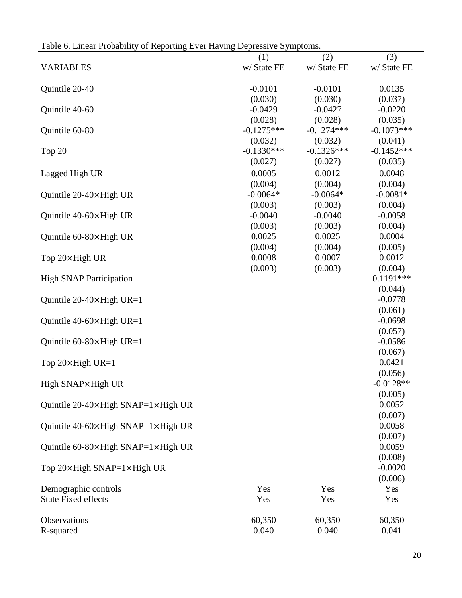| raoic o. Emear Frobability<br>of importing $E$ or the $m_{\xi}$ depressive $\theta$ yimpromis. |              |              |                   |
|------------------------------------------------------------------------------------------------|--------------|--------------|-------------------|
|                                                                                                | (1)          | (2)          | (3)               |
| <b>VARIABLES</b>                                                                               | w/ State FE  | w/ State FE  | w/ State FE       |
|                                                                                                |              |              |                   |
| Quintile 20-40                                                                                 | $-0.0101$    | $-0.0101$    | 0.0135            |
|                                                                                                | (0.030)      | (0.030)      | (0.037)           |
| Quintile 40-60                                                                                 | $-0.0429$    | $-0.0427$    | $-0.0220$         |
|                                                                                                | (0.028)      | (0.028)      | (0.035)           |
| Quintile 60-80                                                                                 | $-0.1275***$ | $-0.1274***$ | $-0.1073***$      |
|                                                                                                | (0.032)      | (0.032)      | (0.041)           |
| Top $20$                                                                                       | $-0.1330***$ | $-0.1326***$ | $-0.1452***$      |
|                                                                                                | (0.027)      | (0.027)      | (0.035)           |
| Lagged High UR                                                                                 | 0.0005       | 0.0012       | 0.0048            |
|                                                                                                | (0.004)      | (0.004)      | (0.004)           |
| Quintile 20-40×High UR                                                                         | $-0.0064*$   | $-0.0064*$   | $-0.0081*$        |
|                                                                                                | (0.003)      | (0.003)      | (0.004)           |
| Quintile 40-60×High UR                                                                         | $-0.0040$    | $-0.0040$    | $-0.0058$         |
|                                                                                                | (0.003)      | (0.003)      | (0.004)           |
| Quintile 60-80×High UR                                                                         | 0.0025       | 0.0025       | 0.0004            |
|                                                                                                | (0.004)      | (0.004)      | (0.005)           |
| Top 20×High UR                                                                                 | 0.0008       | 0.0007       | 0.0012            |
|                                                                                                | (0.003)      | (0.003)      | (0.004)           |
| <b>High SNAP Participation</b>                                                                 |              |              | $0.1191***$       |
|                                                                                                |              |              | (0.044)           |
| Quintile $20-40 \times$ High UR=1                                                              |              |              | $-0.0778$         |
|                                                                                                |              |              | (0.061)           |
| Quintile $40-60 \times$ High UR=1                                                              |              |              | $-0.0698$         |
|                                                                                                |              |              | (0.057)           |
| Quintile $60-80 \times$ High UR=1                                                              |              |              | $-0.0586$         |
|                                                                                                |              |              | (0.067)           |
| Top $20 \times$ High UR=1                                                                      |              |              | 0.0421            |
|                                                                                                |              |              | (0.056)           |
| High SNAP×High UR                                                                              |              |              | $-0.0128**$       |
|                                                                                                |              |              | (0.005)<br>0.0052 |
| Quintile 20-40×High SNAP=1×High UR                                                             |              |              | (0.007)           |
|                                                                                                |              |              | 0.0058            |
| Quintile 40-60×High SNAP=1×High UR                                                             |              |              | (0.007)           |
| Quintile 60-80×High SNAP=1×High UR                                                             |              |              | 0.0059            |
|                                                                                                |              |              | (0.008)           |
| Top $20 \times$ High SNAP= $1 \times$ High UR                                                  |              |              | $-0.0020$         |
|                                                                                                |              |              | (0.006)           |
| Demographic controls                                                                           | Yes          | Yes          | Yes               |
| <b>State Fixed effects</b>                                                                     | Yes          | Yes          | Yes               |
|                                                                                                |              |              |                   |
| Observations                                                                                   | 60,350       | 60,350       | 60,350            |
| R-squared                                                                                      | 0.040        | 0.040        | 0.041             |

Table 6. Linear Probability of Reporting Ever Having Depressive Symptoms.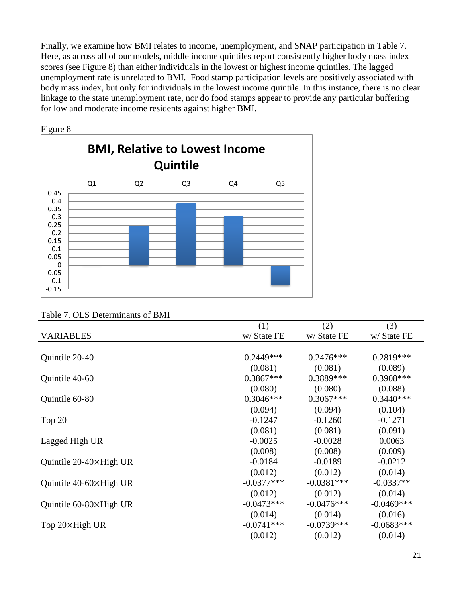Finally, we examine how BMI relates to income, unemployment, and SNAP participation in Table 7. Here, as across all of our models, middle income quintiles report consistently higher body mass index scores (see Figure 8) than either individuals in the lowest or highest income quintiles. The lagged unemployment rate is unrelated to BMI. Food stamp participation levels are positively associated with body mass index, but only for individuals in the lowest income quintile. In this instance, there is no clear linkage to the state unemployment rate, nor do food stamps appear to provide any particular buffering for low and moderate income residents against higher BMI.



Figure 8

|                                 | (1)          | (2)          | (3)          |
|---------------------------------|--------------|--------------|--------------|
| <b>VARIABLES</b>                | w/ State FE  | w/ State FE  | w/ State FE  |
|                                 |              |              |              |
| Quintile 20-40                  | $0.2449***$  | $0.2476***$  | 0.2819***    |
|                                 | (0.081)      | (0.081)      | (0.089)      |
| Quintile 40-60                  | $0.3867***$  | $0.3889***$  | $0.3908***$  |
|                                 | (0.080)      | (0.080)      | (0.088)      |
| Quintile 60-80                  | $0.3046***$  | $0.3067***$  | $0.3440***$  |
|                                 | (0.094)      | (0.094)      | (0.104)      |
| Top 20                          | $-0.1247$    | $-0.1260$    | $-0.1271$    |
|                                 | (0.081)      | (0.081)      | (0.091)      |
| Lagged High UR                  | $-0.0025$    | $-0.0028$    | 0.0063       |
|                                 | (0.008)      | (0.008)      | (0.009)      |
| Quintile 20-40×High UR          | $-0.0184$    | $-0.0189$    | $-0.0212$    |
|                                 | (0.012)      | (0.012)      | (0.014)      |
| Quintile $40-60 \times$ High UR | $-0.0377***$ | $-0.0381***$ | $-0.0337**$  |
|                                 | (0.012)      | (0.012)      | (0.014)      |
| Quintile 60-80×High UR          | $-0.0473***$ | $-0.0476***$ | $-0.0469***$ |
|                                 | (0.014)      | (0.014)      | (0.016)      |
| Top 20×High UR                  | $-0.0741***$ | $-0.0739***$ | $-0.0683***$ |
|                                 | (0.012)      | (0.012)      | (0.014)      |
|                                 |              |              |              |

#### Table 7. OLS Determinants of BMI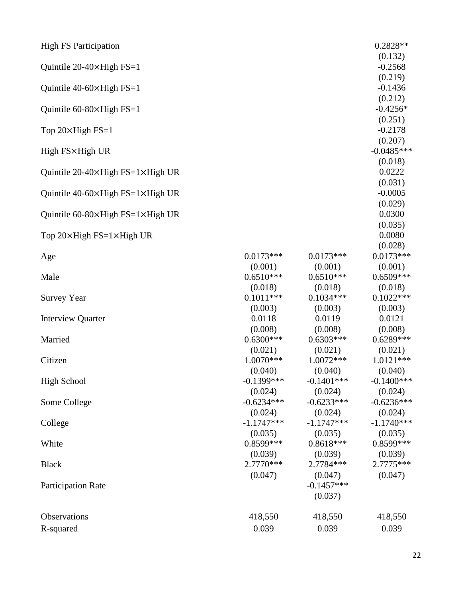| $-0.2568$<br>Quintile 20-40×High FS=1<br>(0.219)<br>$-0.1436$<br>Quintile $40-60 \times$ High FS=1<br>(0.212)<br>$-0.4256*$<br>Quintile 60-80×High FS=1<br>(0.251)<br>$-0.2178$<br>Top 20×High FS=1<br>(0.207)<br>$-0.0485***$<br>High FS×High UR<br>(0.018)<br>0.0222<br>Quintile 20-40 $\times$ High FS=1 $\times$ High UR<br>(0.031)<br>$-0.0005$<br>Quintile $40-60 \times$ High FS=1 $\times$ High UR<br>(0.029)<br>0.0300<br>Quintile $60-80 \times$ High FS= $1 \times$ High UR<br>(0.035)<br>0.0080<br>Top 20×High FS=1×High UR<br>(0.028)<br>$0.0173***$<br>$0.0173***$<br>$0.0173***$<br>Age<br>(0.001)<br>(0.001)<br>(0.001)<br>$0.6510***$<br>$0.6510***$<br>$0.6509***$<br>Male<br>(0.018)<br>(0.018)<br>(0.018)<br>$0.1011***$<br>$0.1034***$<br>$0.1022***$<br><b>Survey Year</b><br>(0.003)<br>(0.003)<br>(0.003)<br>0.0118<br>0.0119<br>0.0121<br><b>Interview Quarter</b><br>(0.008)<br>(0.008)<br>(0.008)<br>$0.6300***$<br>$0.6303***$<br>$0.6289***$<br>Married<br>(0.021)<br>(0.021)<br>(0.021)<br>$1.0070***$<br>$1.0072***$<br>$1.0121***$<br>Citizen<br>(0.040)<br>(0.040)<br>(0.040)<br><b>High School</b><br>$-0.1399$ ***<br>$-0.1401***$<br>$-0.1400***$<br>(0.024)<br>(0.024)<br>(0.024)<br>$-0.6236***$<br>$-0.6234***$<br>$-0.6233***$<br>Some College<br>(0.024)<br>(0.024)<br>(0.024)<br>$-1.1747***$<br>$-1.1747***$<br>$-1.1740***$<br>College<br>(0.035)<br>(0.035)<br>(0.035)<br>0.8599***<br>$0.8618***$<br>0.8599***<br>White<br>(0.039)<br>(0.039)<br>(0.039)<br>2.7770***<br>2.7784 ***<br>2.7775***<br><b>Black</b><br>(0.047)<br>(0.047)<br>(0.047)<br>$-0.1457***$<br><b>Participation Rate</b><br>(0.037)<br>Observations<br>418,550<br>418,550<br>418,550<br>0.039 | <b>High FS Participation</b> |       |       | 0.2828** |
|-------------------------------------------------------------------------------------------------------------------------------------------------------------------------------------------------------------------------------------------------------------------------------------------------------------------------------------------------------------------------------------------------------------------------------------------------------------------------------------------------------------------------------------------------------------------------------------------------------------------------------------------------------------------------------------------------------------------------------------------------------------------------------------------------------------------------------------------------------------------------------------------------------------------------------------------------------------------------------------------------------------------------------------------------------------------------------------------------------------------------------------------------------------------------------------------------------------------------------------------------------------------------------------------------------------------------------------------------------------------------------------------------------------------------------------------------------------------------------------------------------------------------------------------------------------------------------------------------------------------------------------------------------------------------------------------------------------------|------------------------------|-------|-------|----------|
|                                                                                                                                                                                                                                                                                                                                                                                                                                                                                                                                                                                                                                                                                                                                                                                                                                                                                                                                                                                                                                                                                                                                                                                                                                                                                                                                                                                                                                                                                                                                                                                                                                                                                                                   |                              |       |       | (0.132)  |
|                                                                                                                                                                                                                                                                                                                                                                                                                                                                                                                                                                                                                                                                                                                                                                                                                                                                                                                                                                                                                                                                                                                                                                                                                                                                                                                                                                                                                                                                                                                                                                                                                                                                                                                   |                              |       |       |          |
|                                                                                                                                                                                                                                                                                                                                                                                                                                                                                                                                                                                                                                                                                                                                                                                                                                                                                                                                                                                                                                                                                                                                                                                                                                                                                                                                                                                                                                                                                                                                                                                                                                                                                                                   |                              |       |       |          |
|                                                                                                                                                                                                                                                                                                                                                                                                                                                                                                                                                                                                                                                                                                                                                                                                                                                                                                                                                                                                                                                                                                                                                                                                                                                                                                                                                                                                                                                                                                                                                                                                                                                                                                                   |                              |       |       |          |
|                                                                                                                                                                                                                                                                                                                                                                                                                                                                                                                                                                                                                                                                                                                                                                                                                                                                                                                                                                                                                                                                                                                                                                                                                                                                                                                                                                                                                                                                                                                                                                                                                                                                                                                   |                              |       |       |          |
|                                                                                                                                                                                                                                                                                                                                                                                                                                                                                                                                                                                                                                                                                                                                                                                                                                                                                                                                                                                                                                                                                                                                                                                                                                                                                                                                                                                                                                                                                                                                                                                                                                                                                                                   |                              |       |       |          |
|                                                                                                                                                                                                                                                                                                                                                                                                                                                                                                                                                                                                                                                                                                                                                                                                                                                                                                                                                                                                                                                                                                                                                                                                                                                                                                                                                                                                                                                                                                                                                                                                                                                                                                                   |                              |       |       |          |
|                                                                                                                                                                                                                                                                                                                                                                                                                                                                                                                                                                                                                                                                                                                                                                                                                                                                                                                                                                                                                                                                                                                                                                                                                                                                                                                                                                                                                                                                                                                                                                                                                                                                                                                   |                              |       |       |          |
|                                                                                                                                                                                                                                                                                                                                                                                                                                                                                                                                                                                                                                                                                                                                                                                                                                                                                                                                                                                                                                                                                                                                                                                                                                                                                                                                                                                                                                                                                                                                                                                                                                                                                                                   |                              |       |       |          |
|                                                                                                                                                                                                                                                                                                                                                                                                                                                                                                                                                                                                                                                                                                                                                                                                                                                                                                                                                                                                                                                                                                                                                                                                                                                                                                                                                                                                                                                                                                                                                                                                                                                                                                                   |                              |       |       |          |
|                                                                                                                                                                                                                                                                                                                                                                                                                                                                                                                                                                                                                                                                                                                                                                                                                                                                                                                                                                                                                                                                                                                                                                                                                                                                                                                                                                                                                                                                                                                                                                                                                                                                                                                   |                              |       |       |          |
|                                                                                                                                                                                                                                                                                                                                                                                                                                                                                                                                                                                                                                                                                                                                                                                                                                                                                                                                                                                                                                                                                                                                                                                                                                                                                                                                                                                                                                                                                                                                                                                                                                                                                                                   |                              |       |       |          |
|                                                                                                                                                                                                                                                                                                                                                                                                                                                                                                                                                                                                                                                                                                                                                                                                                                                                                                                                                                                                                                                                                                                                                                                                                                                                                                                                                                                                                                                                                                                                                                                                                                                                                                                   |                              |       |       |          |
|                                                                                                                                                                                                                                                                                                                                                                                                                                                                                                                                                                                                                                                                                                                                                                                                                                                                                                                                                                                                                                                                                                                                                                                                                                                                                                                                                                                                                                                                                                                                                                                                                                                                                                                   |                              |       |       |          |
|                                                                                                                                                                                                                                                                                                                                                                                                                                                                                                                                                                                                                                                                                                                                                                                                                                                                                                                                                                                                                                                                                                                                                                                                                                                                                                                                                                                                                                                                                                                                                                                                                                                                                                                   |                              |       |       |          |
|                                                                                                                                                                                                                                                                                                                                                                                                                                                                                                                                                                                                                                                                                                                                                                                                                                                                                                                                                                                                                                                                                                                                                                                                                                                                                                                                                                                                                                                                                                                                                                                                                                                                                                                   |                              |       |       |          |
|                                                                                                                                                                                                                                                                                                                                                                                                                                                                                                                                                                                                                                                                                                                                                                                                                                                                                                                                                                                                                                                                                                                                                                                                                                                                                                                                                                                                                                                                                                                                                                                                                                                                                                                   |                              |       |       |          |
|                                                                                                                                                                                                                                                                                                                                                                                                                                                                                                                                                                                                                                                                                                                                                                                                                                                                                                                                                                                                                                                                                                                                                                                                                                                                                                                                                                                                                                                                                                                                                                                                                                                                                                                   |                              |       |       |          |
|                                                                                                                                                                                                                                                                                                                                                                                                                                                                                                                                                                                                                                                                                                                                                                                                                                                                                                                                                                                                                                                                                                                                                                                                                                                                                                                                                                                                                                                                                                                                                                                                                                                                                                                   |                              |       |       |          |
|                                                                                                                                                                                                                                                                                                                                                                                                                                                                                                                                                                                                                                                                                                                                                                                                                                                                                                                                                                                                                                                                                                                                                                                                                                                                                                                                                                                                                                                                                                                                                                                                                                                                                                                   |                              |       |       |          |
|                                                                                                                                                                                                                                                                                                                                                                                                                                                                                                                                                                                                                                                                                                                                                                                                                                                                                                                                                                                                                                                                                                                                                                                                                                                                                                                                                                                                                                                                                                                                                                                                                                                                                                                   |                              |       |       |          |
|                                                                                                                                                                                                                                                                                                                                                                                                                                                                                                                                                                                                                                                                                                                                                                                                                                                                                                                                                                                                                                                                                                                                                                                                                                                                                                                                                                                                                                                                                                                                                                                                                                                                                                                   |                              |       |       |          |
|                                                                                                                                                                                                                                                                                                                                                                                                                                                                                                                                                                                                                                                                                                                                                                                                                                                                                                                                                                                                                                                                                                                                                                                                                                                                                                                                                                                                                                                                                                                                                                                                                                                                                                                   |                              |       |       |          |
|                                                                                                                                                                                                                                                                                                                                                                                                                                                                                                                                                                                                                                                                                                                                                                                                                                                                                                                                                                                                                                                                                                                                                                                                                                                                                                                                                                                                                                                                                                                                                                                                                                                                                                                   |                              |       |       |          |
|                                                                                                                                                                                                                                                                                                                                                                                                                                                                                                                                                                                                                                                                                                                                                                                                                                                                                                                                                                                                                                                                                                                                                                                                                                                                                                                                                                                                                                                                                                                                                                                                                                                                                                                   |                              |       |       |          |
|                                                                                                                                                                                                                                                                                                                                                                                                                                                                                                                                                                                                                                                                                                                                                                                                                                                                                                                                                                                                                                                                                                                                                                                                                                                                                                                                                                                                                                                                                                                                                                                                                                                                                                                   |                              |       |       |          |
|                                                                                                                                                                                                                                                                                                                                                                                                                                                                                                                                                                                                                                                                                                                                                                                                                                                                                                                                                                                                                                                                                                                                                                                                                                                                                                                                                                                                                                                                                                                                                                                                                                                                                                                   |                              |       |       |          |
|                                                                                                                                                                                                                                                                                                                                                                                                                                                                                                                                                                                                                                                                                                                                                                                                                                                                                                                                                                                                                                                                                                                                                                                                                                                                                                                                                                                                                                                                                                                                                                                                                                                                                                                   |                              |       |       |          |
|                                                                                                                                                                                                                                                                                                                                                                                                                                                                                                                                                                                                                                                                                                                                                                                                                                                                                                                                                                                                                                                                                                                                                                                                                                                                                                                                                                                                                                                                                                                                                                                                                                                                                                                   |                              |       |       |          |
|                                                                                                                                                                                                                                                                                                                                                                                                                                                                                                                                                                                                                                                                                                                                                                                                                                                                                                                                                                                                                                                                                                                                                                                                                                                                                                                                                                                                                                                                                                                                                                                                                                                                                                                   |                              |       |       |          |
|                                                                                                                                                                                                                                                                                                                                                                                                                                                                                                                                                                                                                                                                                                                                                                                                                                                                                                                                                                                                                                                                                                                                                                                                                                                                                                                                                                                                                                                                                                                                                                                                                                                                                                                   |                              |       |       |          |
|                                                                                                                                                                                                                                                                                                                                                                                                                                                                                                                                                                                                                                                                                                                                                                                                                                                                                                                                                                                                                                                                                                                                                                                                                                                                                                                                                                                                                                                                                                                                                                                                                                                                                                                   |                              |       |       |          |
|                                                                                                                                                                                                                                                                                                                                                                                                                                                                                                                                                                                                                                                                                                                                                                                                                                                                                                                                                                                                                                                                                                                                                                                                                                                                                                                                                                                                                                                                                                                                                                                                                                                                                                                   |                              |       |       |          |
|                                                                                                                                                                                                                                                                                                                                                                                                                                                                                                                                                                                                                                                                                                                                                                                                                                                                                                                                                                                                                                                                                                                                                                                                                                                                                                                                                                                                                                                                                                                                                                                                                                                                                                                   |                              |       |       |          |
|                                                                                                                                                                                                                                                                                                                                                                                                                                                                                                                                                                                                                                                                                                                                                                                                                                                                                                                                                                                                                                                                                                                                                                                                                                                                                                                                                                                                                                                                                                                                                                                                                                                                                                                   |                              |       |       |          |
|                                                                                                                                                                                                                                                                                                                                                                                                                                                                                                                                                                                                                                                                                                                                                                                                                                                                                                                                                                                                                                                                                                                                                                                                                                                                                                                                                                                                                                                                                                                                                                                                                                                                                                                   |                              |       |       |          |
|                                                                                                                                                                                                                                                                                                                                                                                                                                                                                                                                                                                                                                                                                                                                                                                                                                                                                                                                                                                                                                                                                                                                                                                                                                                                                                                                                                                                                                                                                                                                                                                                                                                                                                                   |                              |       |       |          |
|                                                                                                                                                                                                                                                                                                                                                                                                                                                                                                                                                                                                                                                                                                                                                                                                                                                                                                                                                                                                                                                                                                                                                                                                                                                                                                                                                                                                                                                                                                                                                                                                                                                                                                                   |                              |       |       |          |
|                                                                                                                                                                                                                                                                                                                                                                                                                                                                                                                                                                                                                                                                                                                                                                                                                                                                                                                                                                                                                                                                                                                                                                                                                                                                                                                                                                                                                                                                                                                                                                                                                                                                                                                   |                              |       |       |          |
|                                                                                                                                                                                                                                                                                                                                                                                                                                                                                                                                                                                                                                                                                                                                                                                                                                                                                                                                                                                                                                                                                                                                                                                                                                                                                                                                                                                                                                                                                                                                                                                                                                                                                                                   |                              |       |       |          |
|                                                                                                                                                                                                                                                                                                                                                                                                                                                                                                                                                                                                                                                                                                                                                                                                                                                                                                                                                                                                                                                                                                                                                                                                                                                                                                                                                                                                                                                                                                                                                                                                                                                                                                                   | R-squared                    | 0.039 | 0.039 |          |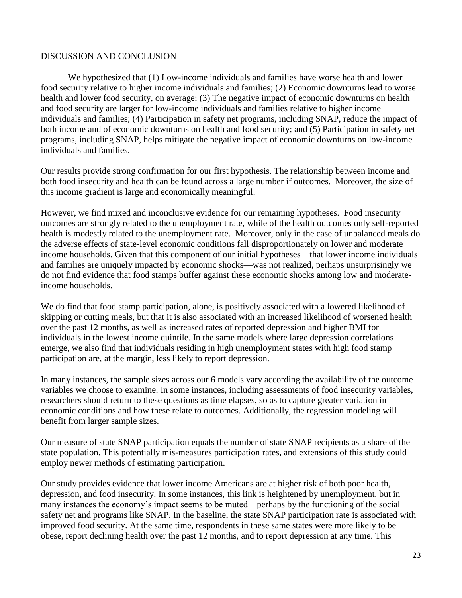#### DISCUSSION AND CONCLUSION

We hypothesized that (1) Low-income individuals and families have worse health and lower food security relative to higher income individuals and families; (2) Economic downturns lead to worse health and lower food security, on average; (3) The negative impact of economic downturns on health and food security are larger for low-income individuals and families relative to higher income individuals and families; (4) Participation in safety net programs, including SNAP, reduce the impact of both income and of economic downturns on health and food security; and (5) Participation in safety net programs, including SNAP, helps mitigate the negative impact of economic downturns on low-income individuals and families.

Our results provide strong confirmation for our first hypothesis. The relationship between income and both food insecurity and health can be found across a large number if outcomes. Moreover, the size of this income gradient is large and economically meaningful.

However, we find mixed and inconclusive evidence for our remaining hypotheses. Food insecurity outcomes are strongly related to the unemployment rate, while of the health outcomes only self-reported health is modestly related to the unemployment rate. Moreover, only in the case of unbalanced meals do the adverse effects of state-level economic conditions fall disproportionately on lower and moderate income households. Given that this component of our initial hypotheses—that lower income individuals and families are uniquely impacted by economic shocks—was not realized, perhaps unsurprisingly we do not find evidence that food stamps buffer against these economic shocks among low and moderateincome households.

We do find that food stamp participation, alone, is positively associated with a lowered likelihood of skipping or cutting meals, but that it is also associated with an increased likelihood of worsened health over the past 12 months, as well as increased rates of reported depression and higher BMI for individuals in the lowest income quintile. In the same models where large depression correlations emerge, we also find that individuals residing in high unemployment states with high food stamp participation are, at the margin, less likely to report depression.

In many instances, the sample sizes across our 6 models vary according the availability of the outcome variables we choose to examine. In some instances, including assessments of food insecurity variables, researchers should return to these questions as time elapses, so as to capture greater variation in economic conditions and how these relate to outcomes. Additionally, the regression modeling will benefit from larger sample sizes.

Our measure of state SNAP participation equals the number of state SNAP recipients as a share of the state population. This potentially mis-measures participation rates, and extensions of this study could employ newer methods of estimating participation.

Our study provides evidence that lower income Americans are at higher risk of both poor health, depression, and food insecurity. In some instances, this link is heightened by unemployment, but in many instances the economy's impact seems to be muted—perhaps by the functioning of the social safety net and programs like SNAP. In the baseline, the state SNAP participation rate is associated with improved food security. At the same time, respondents in these same states were more likely to be obese, report declining health over the past 12 months, and to report depression at any time. This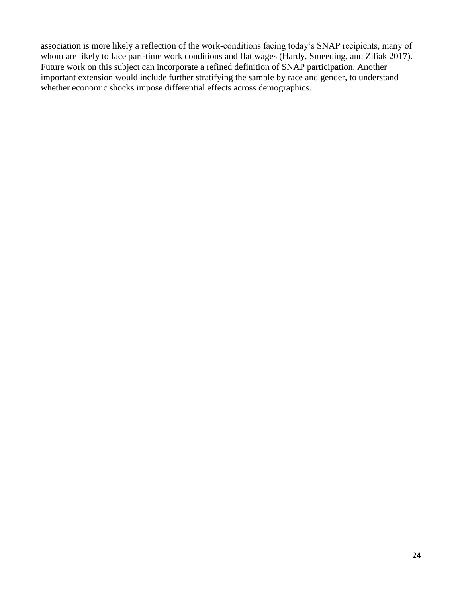association is more likely a reflection of the work-conditions facing today's SNAP recipients, many of whom are likely to face part-time work conditions and flat wages (Hardy, Smeeding, and Ziliak 2017). Future work on this subject can incorporate a refined definition of SNAP participation. Another important extension would include further stratifying the sample by race and gender, to understand whether economic shocks impose differential effects across demographics.